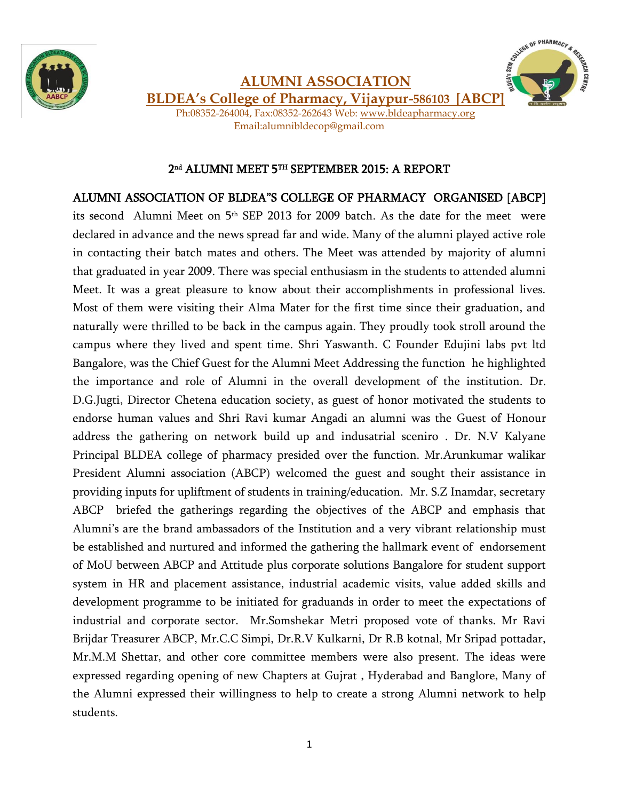



**ALUMNI ASSOCIATION BLDEA's College of Pharmacy, Vijaypur-586103 [ABCP]**

Ph:08352-264004, Fax:08352-262643 Web: [www.bldeapharmacy.org](http://www.bldeapharmacy.org/)  Email:alumnibldecop@gmail.com

## 2 nd ALUMNI MEET 5TH SEPTEMBER 2015: A REPORT

## ALUMNI ASSOCIATION OF BLDEA"S COLLEGE OF PHARMACY ORGANISED [ABCP]

its second Alumni Meet on 5<sup>th</sup> SEP 2013 for 2009 batch. As the date for the meet were declared in advance and the news spread far and wide. Many of the alumni played active role in contacting their batch mates and others. The Meet was attended by majority of alumni that graduated in year 2009. There was special enthusiasm in the students to attended alumni Meet. It was a great pleasure to know about their accomplishments in professional lives. Most of them were visiting their Alma Mater for the first time since their graduation, and naturally were thrilled to be back in the campus again. They proudly took stroll around the campus where they lived and spent time. Shri Yaswanth. C Founder Edujini labs pvt ltd Bangalore, was the Chief Guest for the Alumni Meet Addressing the function he highlighted the importance and role of Alumni in the overall development of the institution. Dr. D.G.Jugti, Director Chetena education society, as guest of honor motivated the students to endorse human values and Shri Ravi kumar Angadi an alumni was the Guest of Honour address the gathering on network build up and indusatrial sceniro . Dr. N.V Kalyane Principal BLDEA college of pharmacy presided over the function. Mr.Arunkumar walikar President Alumni association (ABCP) welcomed the guest and sought their assistance in providing inputs for upliftment of students in training/education. Mr. S.Z Inamdar, secretary ABCP briefed the gatherings regarding the objectives of the ABCP and emphasis that Alumni's are the brand ambassadors of the Institution and a very vibrant relationship must be established and nurtured and informed the gathering the hallmark event of endorsement of MoU between ABCP and Attitude plus corporate solutions Bangalore for student support system in HR and placement assistance, industrial academic visits, value added skills and development programme to be initiated for graduands in order to meet the expectations of industrial and corporate sector. Mr.Somshekar Metri proposed vote of thanks. Mr Ravi Brijdar Treasurer ABCP, Mr.C.C Simpi, Dr.R.V Kulkarni, Dr R.B kotnal, Mr Sripad pottadar, Mr.M.M Shettar, and other core committee members were also present. The ideas were expressed regarding opening of new Chapters at Gujrat , Hyderabad and Banglore, Many of the Alumni expressed their willingness to help to create a strong Alumni network to help students.